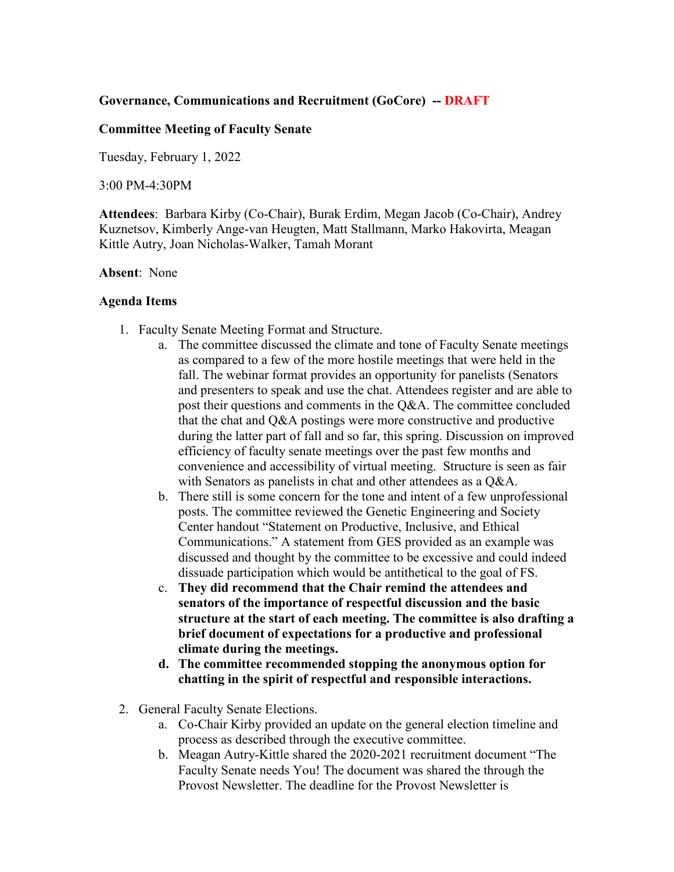## **Governance, Communications and Recruitment (GoCore) -- DRAFT**

## **Committee Meeting of Faculty Senate**

Tuesday, February 1, 2022

3:00 PM-4:30PM

**Attendees**: Barbara Kirby (Co-Chair), Burak Erdim, Megan Jacob (Co-Chair), Andrey Kuznetsov, Kimberly Ange-van Heugten, Matt Stallmann, Marko Hakovirta, Meagan Kittle Autry, Joan Nicholas-Walker, Tamah Morant

## **Absent**: None

## **Agenda Items**

- 1. Faculty Senate Meeting Format and Structure.
	- a. The committee discussed the climate and tone of Faculty Senate meetings as compared to a few of the more hostile meetings that were held in the fall. The webinar format provides an opportunity for panelists (Senators and presenters to speak and use the chat. Attendees register and are able to post their questions and comments in the Q&A. The committee concluded that the chat and Q&A postings were more constructive and productive during the latter part of fall and so far, this spring. Discussion on improved efficiency of faculty senate meetings over the past few months and convenience and accessibility of virtual meeting. Structure is seen as fair with Senators as panelists in chat and other attendees as a Q&A.
	- b. There still is some concern for the tone and intent of a few unprofessional posts. The committee reviewed the Genetic Engineering and Society Center handout "Statement on Productive, Inclusive, and Ethical Communications." A statement from GES provided as an example was discussed and thought by the committee to be excessive and could indeed dissuade participation which would be antithetical to the goal of FS.
	- c. **They did recommend that the Chair remind the attendees and senators of the importance of respectful discussion and the basic structure at the start of each meeting. The committee is also drafting a brief document of expectations for a productive and professional climate during the meetings.**
	- **d. The committee recommended stopping the anonymous option for chatting in the spirit of respectful and responsible interactions.**
- 2. General Faculty Senate Elections.
	- a. Co-Chair Kirby provided an update on the general election timeline and process as described through the executive committee.
	- b. Meagan Autry-Kittle shared the 2020-2021 recruitment document "The Faculty Senate needs You! The document was shared the through the Provost Newsletter. The deadline for the Provost Newsletter is